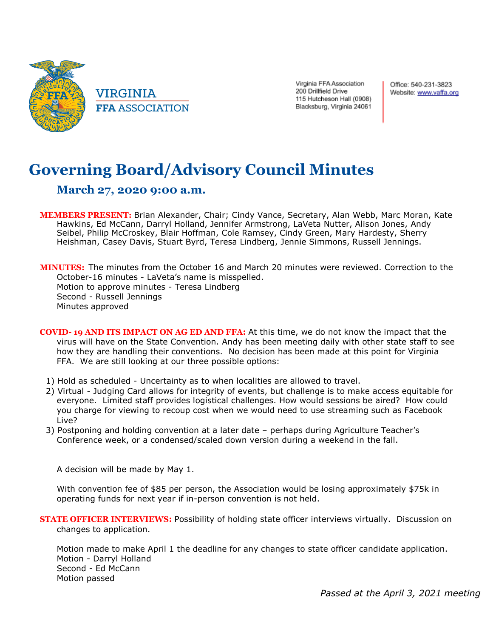

Virginia FFA Association 200 Drillfield Drive 115 Hutcheson Hall (0908) Blacksburg, Virginia 24061 Office: 540-231-3823 Website: www.vaffa.org

## **Governing Board/Advisory Council Minutes**

## **March 27, 2020 9:00 a.m.**

**MEMBERS PRESENT:** Brian Alexander, Chair; Cindy Vance, Secretary, Alan Webb, Marc Moran, Kate Hawkins, Ed McCann, Darryl Holland, Jennifer Armstrong, LaVeta Nutter, Alison Jones, Andy Seibel, Philip McCroskey, Blair Hoffman, Cole Ramsey, Cindy Green, Mary Hardesty, Sherry Heishman, Casey Davis, Stuart Byrd, Teresa Lindberg, Jennie Simmons, Russell Jennings.

**MINUTES:** The minutes from the October 16 and March 20 minutes were reviewed. Correction to the October-16 minutes - LaVeta's name is misspelled. Motion to approve minutes - Teresa Lindberg Second - Russell Jennings Minutes approved

- **COVID- 19 AND ITS IMPACT ON AG ED AND FFA:** At this time, we do not know the impact that the virus will have on the State Convention. Andy has been meeting daily with other state staff to see how they are handling their conventions. No decision has been made at this point for Virginia FFA. We are still looking at our three possible options:
	- 1) Hold as scheduled Uncertainty as to when localities are allowed to travel.
	- 2) Virtual Judging Card allows for integrity of events, but challenge is to make access equitable for everyone. Limited staff provides logistical challenges. How would sessions be aired? How could you charge for viewing to recoup cost when we would need to use streaming such as Facebook Live?
	- 3) Postponing and holding convention at a later date perhaps during Agriculture Teacher's Conference week, or a condensed/scaled down version during a weekend in the fall.

A decision will be made by May 1.

With convention fee of \$85 per person, the Association would be losing approximately \$75k in operating funds for next year if in-person convention is not held.

**STATE OFFICER INTERVIEWS:** Possibility of holding state officer interviews virtually. Discussion on changes to application.

Motion made to make April 1 the deadline for any changes to state officer candidate application. Motion - Darryl Holland Second - Ed McCann Motion passed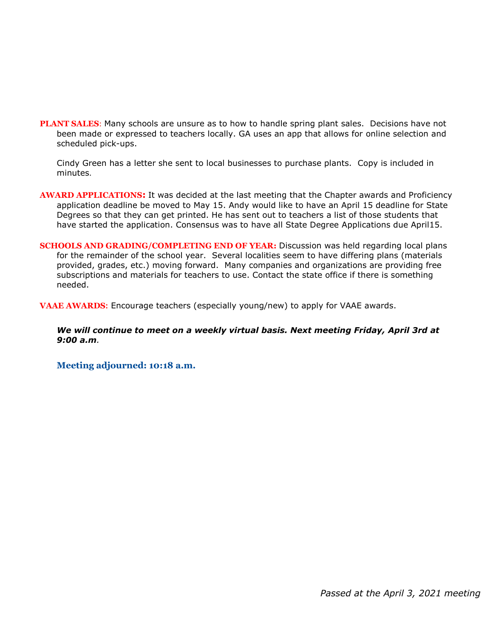**PLANT SALES:** Many schools are unsure as to how to handle spring plant sales. Decisions have not been made or expressed to teachers locally. GA uses an app that allows for online selection and scheduled pick-ups.

Cindy Green has a letter she sent to local businesses to purchase plants. Copy is included in minutes.

- **AWARD APPLICATIONS:** It was decided at the last meeting that the Chapter awards and Proficiency application deadline be moved to May 15. Andy would like to have an April 15 deadline for State Degrees so that they can get printed. He has sent out to teachers a list of those students that have started the application. Consensus was to have all State Degree Applications due April15.
- **SCHOOLS AND GRADING/COMPLETING END OF YEAR:** Discussion was held regarding local plans for the remainder of the school year. Several localities seem to have differing plans (materials provided, grades, etc.) moving forward. Many companies and organizations are providing free subscriptions and materials for teachers to use. Contact the state office if there is something needed.

**VAAE AWARDS:** Encourage teachers (especially young/new) to apply for VAAE awards.

*We will continue to meet on a weekly virtual basis. Next meeting Friday, April 3rd at 9:00 a.m.*

**Meeting adjourned: 10:18 a.m.**